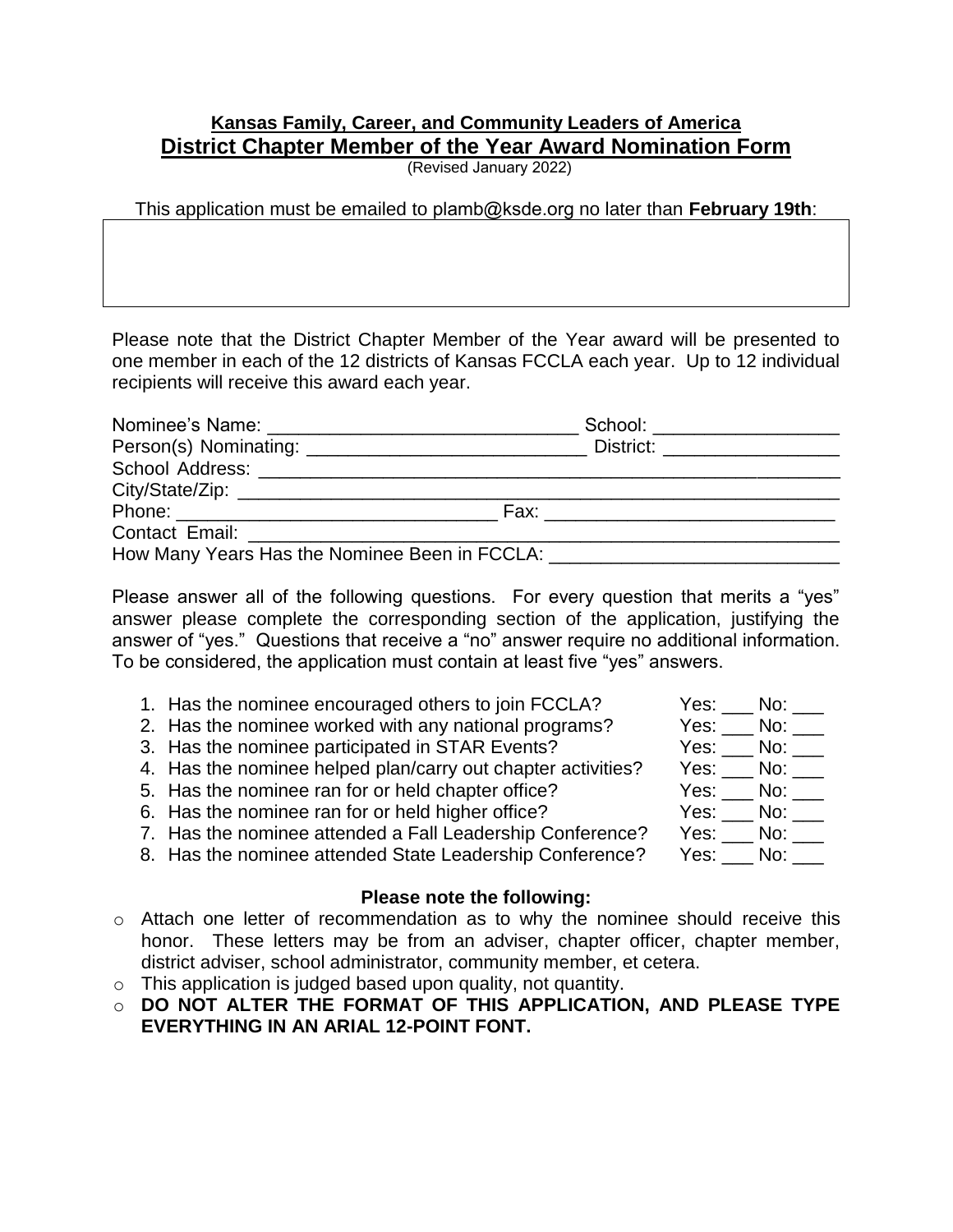## **Kansas Family, Career, and Community Leaders of America District Chapter Member of the Year Award Nomination Form**

(Revised January 2022)

This application must be emailed to plamb@ksde.org no later than **February 19th**:

Please note that the District Chapter Member of the Year award will be presented to one member in each of the 12 districts of Kansas FCCLA each year. Up to 12 individual recipients will receive this award each year.

| School: ___________________                                                                                  |  |
|--------------------------------------------------------------------------------------------------------------|--|
| District: ____________________                                                                               |  |
|                                                                                                              |  |
|                                                                                                              |  |
| Fax: _______________________________                                                                         |  |
|                                                                                                              |  |
| How Many Years Has the Nominee Been in FCCLA: Network and Separate Many Years Has the Nominee Been in FCCLA: |  |

Please answer all of the following questions. For every question that merits a "yes" answer please complete the corresponding section of the application, justifying the answer of "yes." Questions that receive a "no" answer require no additional information. To be considered, the application must contain at least five "yes" answers.

| 1. Has the nominee encouraged others to join FCCLA?          | Yes: No: |
|--------------------------------------------------------------|----------|
| 2. Has the nominee worked with any national programs?        | Yes: No: |
| 3. Has the nominee participated in STAR Events?              | Yes: No: |
| 4. Has the nominee helped plan/carry out chapter activities? | Yes: No: |
| 5. Has the nominee ran for or held chapter office?           | Yes: No: |
| 6. Has the nominee ran for or held higher office?            | Yes: No: |
| 7. Has the nominee attended a Fall Leadership Conference?    | Yes: No: |
| 8. Has the nominee attended State Leadership Conference?     | Yes: No: |
|                                                              |          |

## **Please note the following:**

- o Attach one letter of recommendation as to why the nominee should receive this honor. These letters may be from an adviser, chapter officer, chapter member, district adviser, school administrator, community member, et cetera.
- o This application is judged based upon quality, not quantity.
- o **DO NOT ALTER THE FORMAT OF THIS APPLICATION, AND PLEASE TYPE EVERYTHING IN AN ARIAL 12-POINT FONT.**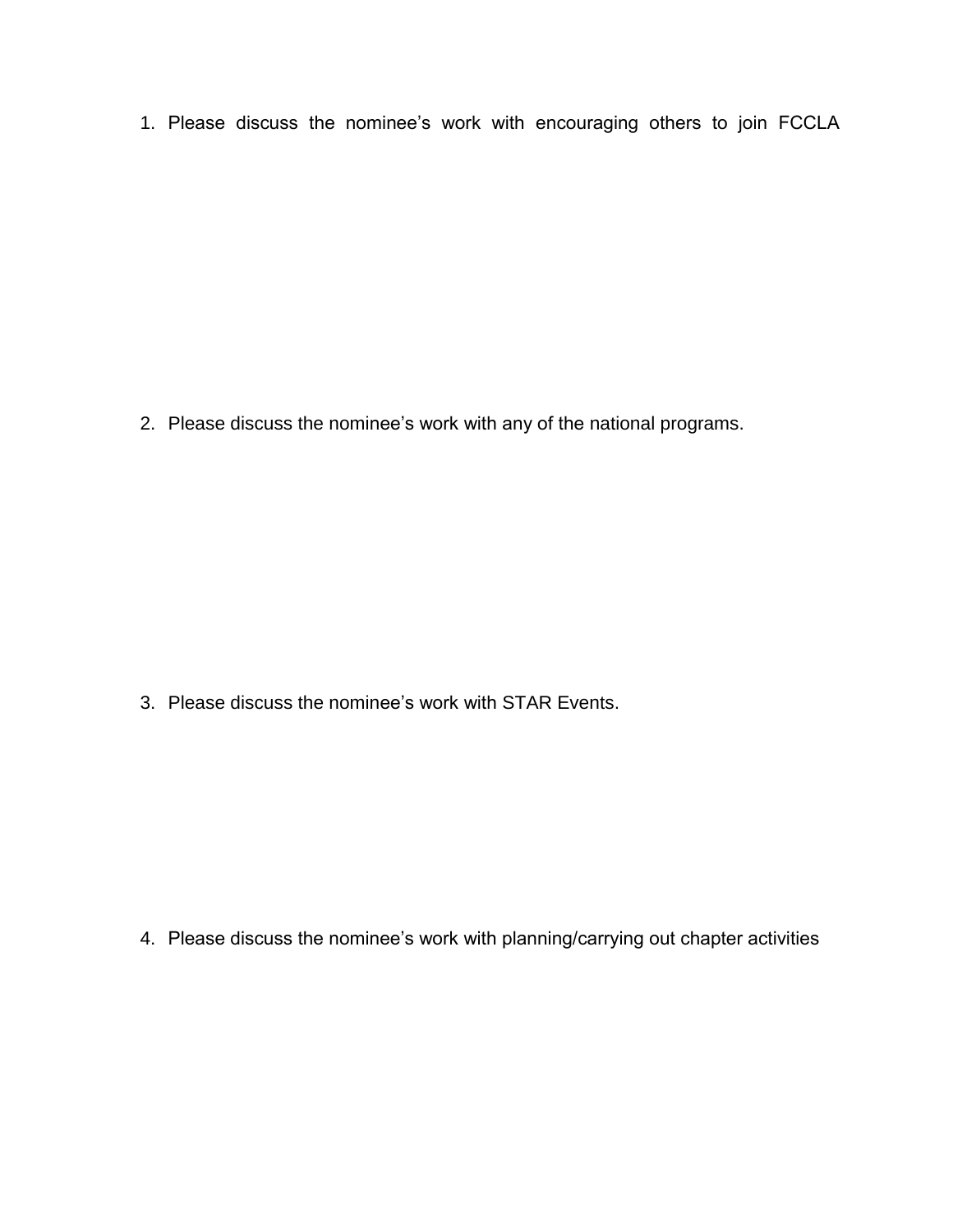1. Please discuss the nominee's work with encouraging others to join FCCLA

2. Please discuss the nominee's work with any of the national programs.

3. Please discuss the nominee's work with STAR Events.

4. Please discuss the nominee's work with planning/carrying out chapter activities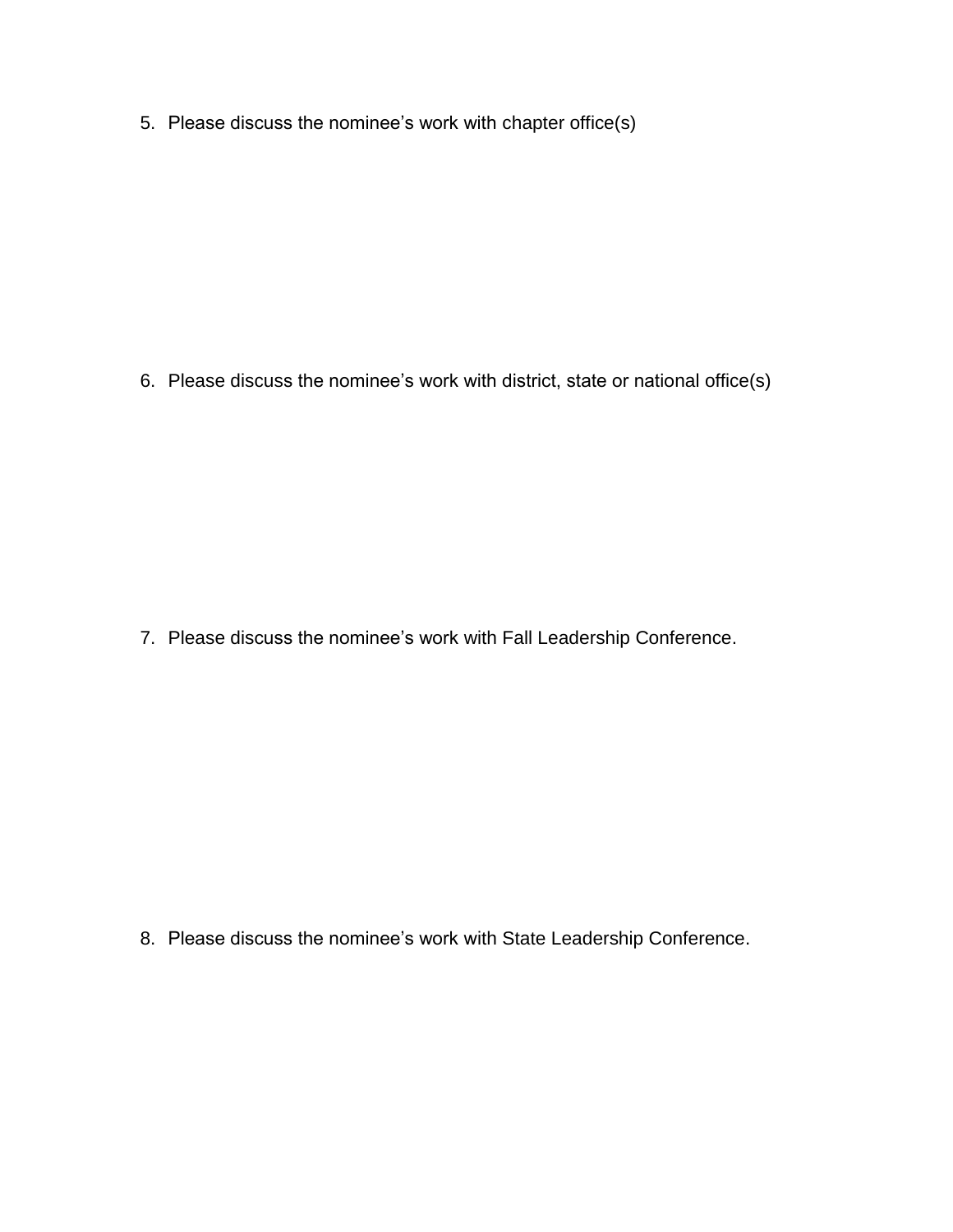5. Please discuss the nominee's work with chapter office(s)

6. Please discuss the nominee's work with district, state or national office(s)

7. Please discuss the nominee's work with Fall Leadership Conference.

8. Please discuss the nominee's work with State Leadership Conference.